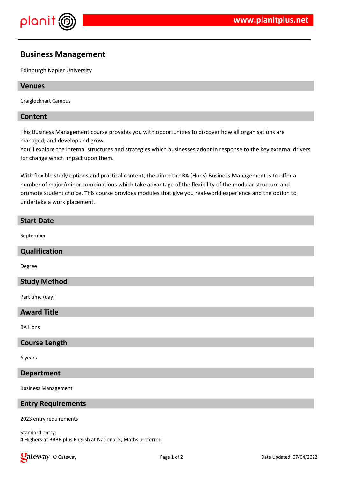

# **Business Management**

Edinburgh Napier University

## **Venues**

Craiglockhart Campus

## **Content**

This Business Management course provides you with opportunities to discover how all organisations are managed, and develop and grow.

You'll explore the internal structures and strategies which businesses adopt in response to the key external drivers for change which impact upon them.

With flexible study options and practical content, the aim o the BA (Hons) Business Management is to offer a number of major/minor combinations which take advantage of the flexibility of the modular structure and promote student choice. This course provides modules that give you real-world experience and the option to undertake a work placement.

# **Start Date**

September

#### **Qualification**

Degree

#### **Study Method**

Part time (day)

## **Award Title**

BA Hons

#### **Course Length**

6 years

#### **Department**

Business Management

# **Entry Requirements**

2023 entry requirements

Standard entry: 4 Highers at BBBB plus English at National 5, Maths preferred.